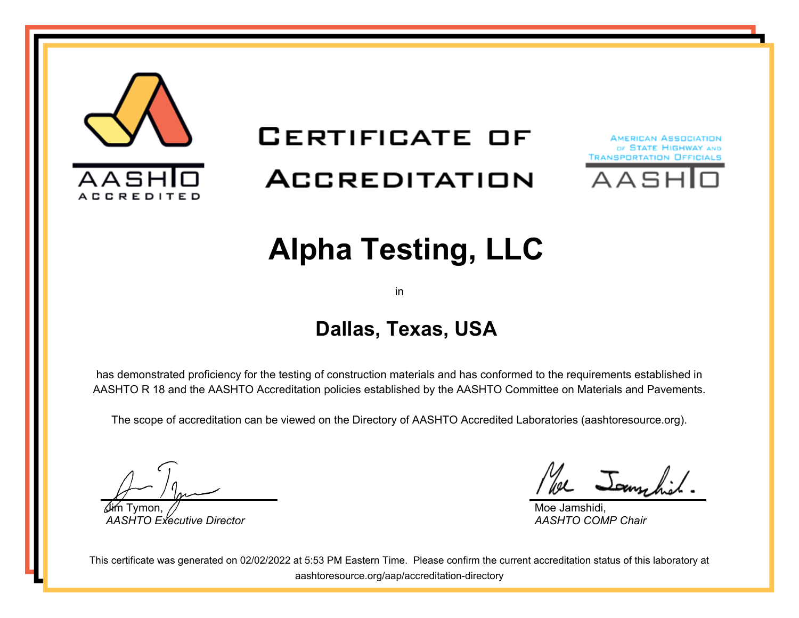

# **CERTIFICATE OF** ACCREDITATION





# **Alpha Testing, LLC**

in

## **Dallas, Texas, USA**

has demonstrated proficiency for the testing of construction materials and has conformed to the requirements established in AASHTO R 18 and the AASHTO Accreditation policies established by the AASHTO Committee on Materials and Pavements.

The scope of accreditation can be viewed on the Directory of AASHTO Accredited Laboratories (aashtoresource.org).

Jim Tymon, *AASHTO Executive Director*

We Jammhil

Moe Jamshidi, *AASHTO COMP Chair*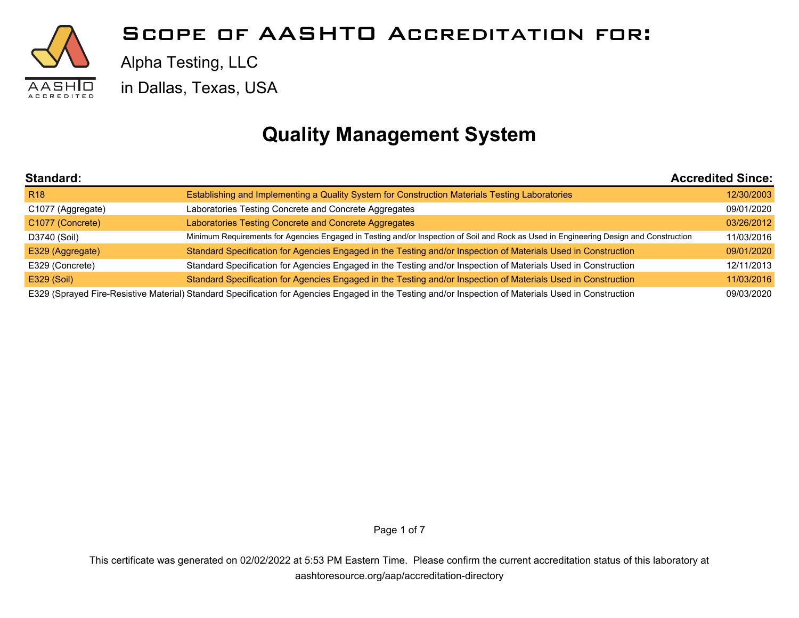

Alpha Testing, LLC

in Dallas, Texas, USA

## **Quality Management System**

| <b>Standard:</b>  |                                                                                                                                                       | <b>Accredited Since:</b> |
|-------------------|-------------------------------------------------------------------------------------------------------------------------------------------------------|--------------------------|
| R <sub>18</sub>   | Establishing and Implementing a Quality System for Construction Materials Testing Laboratories                                                        | 12/30/2003               |
| C1077 (Aggregate) | Laboratories Testing Concrete and Concrete Aggregates                                                                                                 | 09/01/2020               |
| C1077 (Concrete)  | Laboratories Testing Concrete and Concrete Aggregates                                                                                                 | 03/26/2012               |
| D3740 (Soil)      | Minimum Requirements for Agencies Engaged in Testing and/or Inspection of Soil and Rock as Used in Engineering Design and Construction                | 11/03/2016               |
| E329 (Aggregate)  | Standard Specification for Agencies Engaged in the Testing and/or Inspection of Materials Used in Construction                                        | 09/01/2020               |
| E329 (Concrete)   | Standard Specification for Agencies Engaged in the Testing and/or Inspection of Materials Used in Construction                                        | 12/11/2013               |
| E329 (Soil)       | Standard Specification for Agencies Engaged in the Testing and/or Inspection of Materials Used in Construction                                        | 11/03/2016               |
|                   | E329 (Sprayed Fire-Resistive Material) Standard Specification for Agencies Engaged in the Testing and/or Inspection of Materials Used in Construction | 09/03/2020               |

Page 1 of 7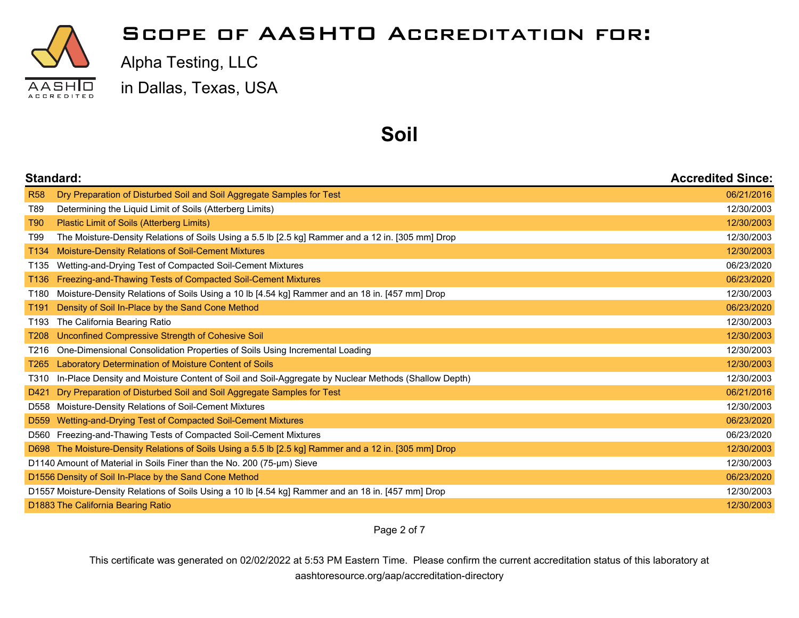

Alpha Testing, LLC

in Dallas, Texas, USA

#### **Soil**

|                  | Standard:                                                                                              |            |
|------------------|--------------------------------------------------------------------------------------------------------|------------|
| <b>R58</b>       | Dry Preparation of Disturbed Soil and Soil Aggregate Samples for Test                                  | 06/21/2016 |
| T89              | Determining the Liquid Limit of Soils (Atterberg Limits)                                               | 12/30/2003 |
| T90              | Plastic Limit of Soils (Atterberg Limits)                                                              | 12/30/2003 |
| T99              | The Moisture-Density Relations of Soils Using a 5.5 lb [2.5 kg] Rammer and a 12 in. [305 mm] Drop      | 12/30/2003 |
| T134             | Moisture-Density Relations of Soil-Cement Mixtures                                                     | 12/30/2003 |
| T <sub>135</sub> | Wetting-and-Drying Test of Compacted Soil-Cement Mixtures                                              | 06/23/2020 |
| T <sub>136</sub> | Freezing-and-Thawing Tests of Compacted Soil-Cement Mixtures                                           | 06/23/2020 |
| T180             | Moisture-Density Relations of Soils Using a 10 lb [4.54 kg] Rammer and an 18 in. [457 mm] Drop         | 12/30/2003 |
| T <sub>191</sub> | Density of Soil In-Place by the Sand Cone Method                                                       | 06/23/2020 |
| T <sub>193</sub> | The California Bearing Ratio                                                                           | 12/30/2003 |
| T208             | Unconfined Compressive Strength of Cohesive Soil                                                       | 12/30/2003 |
| T216             | One-Dimensional Consolidation Properties of Soils Using Incremental Loading                            | 12/30/2003 |
| T <sub>265</sub> | Laboratory Determination of Moisture Content of Soils                                                  | 12/30/2003 |
| T310             | In-Place Density and Moisture Content of Soil and Soil-Aggregate by Nuclear Methods (Shallow Depth)    | 12/30/2003 |
| D421             | Dry Preparation of Disturbed Soil and Soil Aggregate Samples for Test                                  | 06/21/2016 |
| D558             | Moisture-Density Relations of Soil-Cement Mixtures                                                     | 12/30/2003 |
|                  | D559 Wetting-and-Drying Test of Compacted Soil-Cement Mixtures                                         | 06/23/2020 |
|                  | D560 Freezing-and-Thawing Tests of Compacted Soil-Cement Mixtures                                      | 06/23/2020 |
|                  | D698 The Moisture-Density Relations of Soils Using a 5.5 lb [2.5 kg] Rammer and a 12 in. [305 mm] Drop | 12/30/2003 |
|                  | D1140 Amount of Material in Soils Finer than the No. 200 (75-µm) Sieve                                 | 12/30/2003 |
|                  | D1556 Density of Soil In-Place by the Sand Cone Method                                                 | 06/23/2020 |
|                  | D1557 Moisture-Density Relations of Soils Using a 10 lb [4.54 kg] Rammer and an 18 in. [457 mm] Drop   | 12/30/2003 |
|                  | D1883 The California Bearing Ratio                                                                     | 12/30/2003 |

Page 2 of 7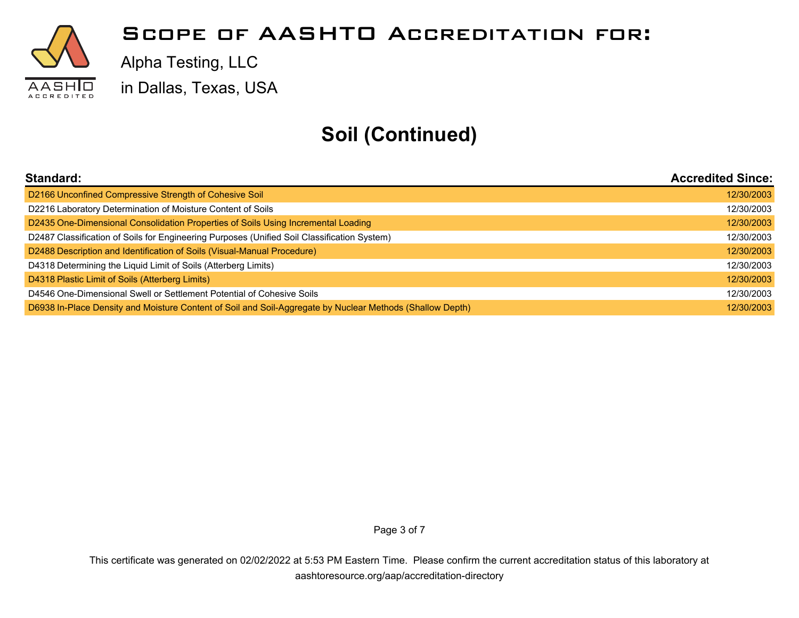

Alpha Testing, LLC

in Dallas, Texas, USA

## **Soil (Continued)**

| <b>Standard:</b>                                                                                          | <b>Accredited Since:</b> |
|-----------------------------------------------------------------------------------------------------------|--------------------------|
| D2166 Unconfined Compressive Strength of Cohesive Soil                                                    | 12/30/2003               |
| D2216 Laboratory Determination of Moisture Content of Soils                                               | 12/30/2003               |
| D2435 One-Dimensional Consolidation Properties of Soils Using Incremental Loading                         | 12/30/2003               |
| D2487 Classification of Soils for Engineering Purposes (Unified Soil Classification System)               | 12/30/2003               |
| D2488 Description and Identification of Soils (Visual-Manual Procedure)                                   | 12/30/2003               |
| D4318 Determining the Liquid Limit of Soils (Atterberg Limits)                                            | 12/30/2003               |
| D4318 Plastic Limit of Soils (Atterberg Limits)                                                           | 12/30/2003               |
| D4546 One-Dimensional Swell or Settlement Potential of Cohesive Soils                                     | 12/30/2003               |
| D6938 In-Place Density and Moisture Content of Soil and Soil-Aggregate by Nuclear Methods (Shallow Depth) | 12/30/2003               |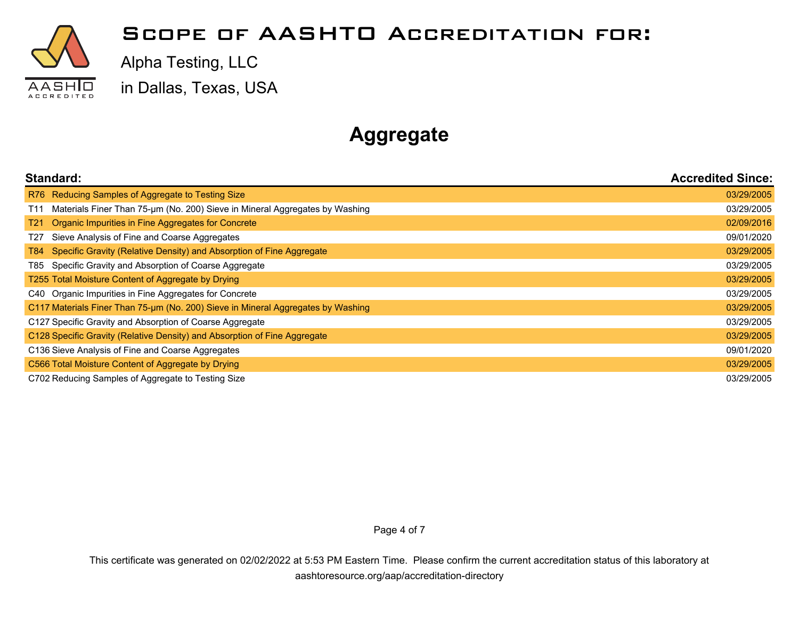

Alpha Testing, LLC

in Dallas, Texas, USA

## **Aggregate**

| Standard:                                                                          | <b>Accredited Since:</b> |
|------------------------------------------------------------------------------------|--------------------------|
| R76 Reducing Samples of Aggregate to Testing Size                                  | 03/29/2005               |
| Materials Finer Than 75-um (No. 200) Sieve in Mineral Aggregates by Washing<br>T11 | 03/29/2005               |
| Organic Impurities in Fine Aggregates for Concrete<br>T21                          | 02/09/2016               |
| Sieve Analysis of Fine and Coarse Aggregates<br>T27                                | 09/01/2020               |
| Specific Gravity (Relative Density) and Absorption of Fine Aggregate<br>T84 I      | 03/29/2005               |
| Specific Gravity and Absorption of Coarse Aggregate<br>T85 I                       | 03/29/2005               |
| T255 Total Moisture Content of Aggregate by Drying                                 | 03/29/2005               |
| C40 Organic Impurities in Fine Aggregates for Concrete                             | 03/29/2005               |
| C117 Materials Finer Than 75-um (No. 200) Sieve in Mineral Aggregates by Washing   |                          |
| C127 Specific Gravity and Absorption of Coarse Aggregate                           |                          |
| C128 Specific Gravity (Relative Density) and Absorption of Fine Aggregate          |                          |
| C136 Sieve Analysis of Fine and Coarse Aggregates                                  |                          |
| C566 Total Moisture Content of Aggregate by Drying                                 |                          |
| C702 Reducing Samples of Aggregate to Testing Size                                 |                          |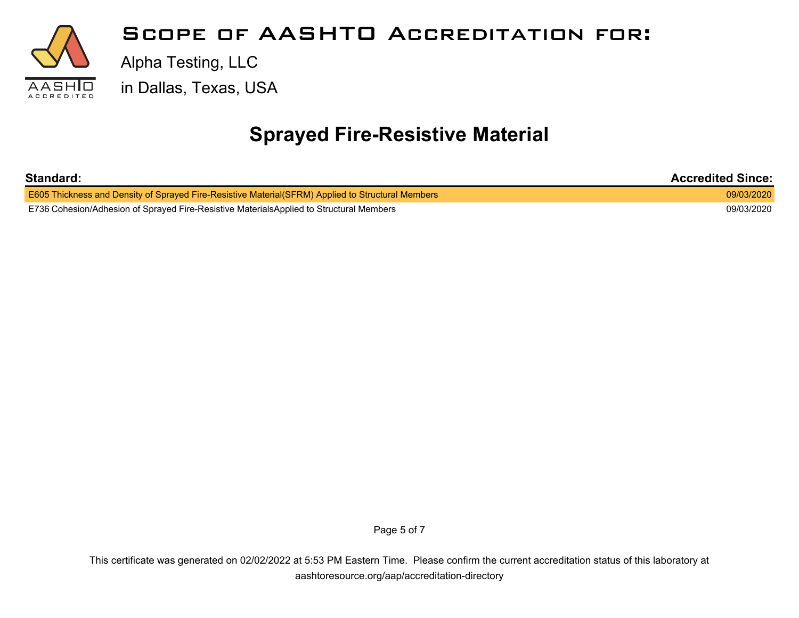

## **Sprayed Fire-Resistive Material**

| Standard:                                                                                                 | <b>Accredited Since:</b> |
|-----------------------------------------------------------------------------------------------------------|--------------------------|
| <b>E605 Thickness and Density of Sprayed Fire-Resistive Material (SFRM) Applied to Structural Members</b> | 09/03/2020               |
| E736 Cohesion/Adhesion of Sprayed Fire-Resistive MaterialsApplied to Structural Members                   | 09/03/2020               |

Page 5 of 7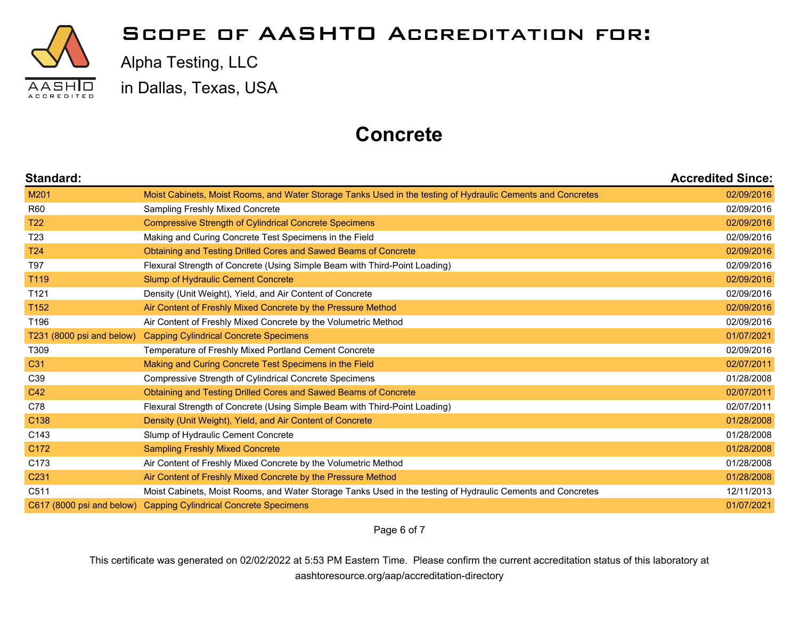

Alpha Testing, LLC

in Dallas, Texas, USA

## **Concrete**

| Standard:                 |                                                                                                             | <b>Accredited Since:</b> |
|---------------------------|-------------------------------------------------------------------------------------------------------------|--------------------------|
| M201                      | Moist Cabinets, Moist Rooms, and Water Storage Tanks Used in the testing of Hydraulic Cements and Concretes | 02/09/2016               |
| <b>R60</b>                | Sampling Freshly Mixed Concrete                                                                             | 02/09/2016               |
| <b>T22</b>                | <b>Compressive Strength of Cylindrical Concrete Specimens</b>                                               | 02/09/2016               |
| T <sub>23</sub>           | Making and Curing Concrete Test Specimens in the Field                                                      | 02/09/2016               |
| T <sub>24</sub>           | Obtaining and Testing Drilled Cores and Sawed Beams of Concrete                                             | 02/09/2016               |
| T97                       | Flexural Strength of Concrete (Using Simple Beam with Third-Point Loading)                                  | 02/09/2016               |
| T119                      | Slump of Hydraulic Cement Concrete                                                                          | 02/09/2016               |
| T <sub>121</sub>          | Density (Unit Weight), Yield, and Air Content of Concrete                                                   | 02/09/2016               |
| T152                      | Air Content of Freshly Mixed Concrete by the Pressure Method                                                | 02/09/2016               |
| T196                      | Air Content of Freshly Mixed Concrete by the Volumetric Method                                              | 02/09/2016               |
| T231 (8000 psi and below) | <b>Capping Cylindrical Concrete Specimens</b>                                                               | 01/07/2021               |
| T309                      | Temperature of Freshly Mixed Portland Cement Concrete                                                       | 02/09/2016               |
| C <sub>31</sub>           | Making and Curing Concrete Test Specimens in the Field                                                      | 02/07/2011               |
| C <sub>39</sub>           | Compressive Strength of Cylindrical Concrete Specimens                                                      | 01/28/2008               |
| C42                       | Obtaining and Testing Drilled Cores and Sawed Beams of Concrete                                             | 02/07/2011               |
| C78                       | Flexural Strength of Concrete (Using Simple Beam with Third-Point Loading)                                  | 02/07/2011               |
| C138                      | Density (Unit Weight), Yield, and Air Content of Concrete                                                   | 01/28/2008               |
| C143                      | Slump of Hydraulic Cement Concrete                                                                          | 01/28/2008               |
| C <sub>172</sub>          | <b>Sampling Freshly Mixed Concrete</b>                                                                      | 01/28/2008               |
| C173                      | Air Content of Freshly Mixed Concrete by the Volumetric Method                                              | 01/28/2008               |
| C <sub>231</sub>          | Air Content of Freshly Mixed Concrete by the Pressure Method                                                | 01/28/2008               |
| C <sub>511</sub>          | Moist Cabinets, Moist Rooms, and Water Storage Tanks Used in the testing of Hydraulic Cements and Concretes | 12/11/2013               |
|                           | C617 (8000 psi and below) Capping Cylindrical Concrete Specimens                                            | 01/07/2021               |

Page 6 of 7